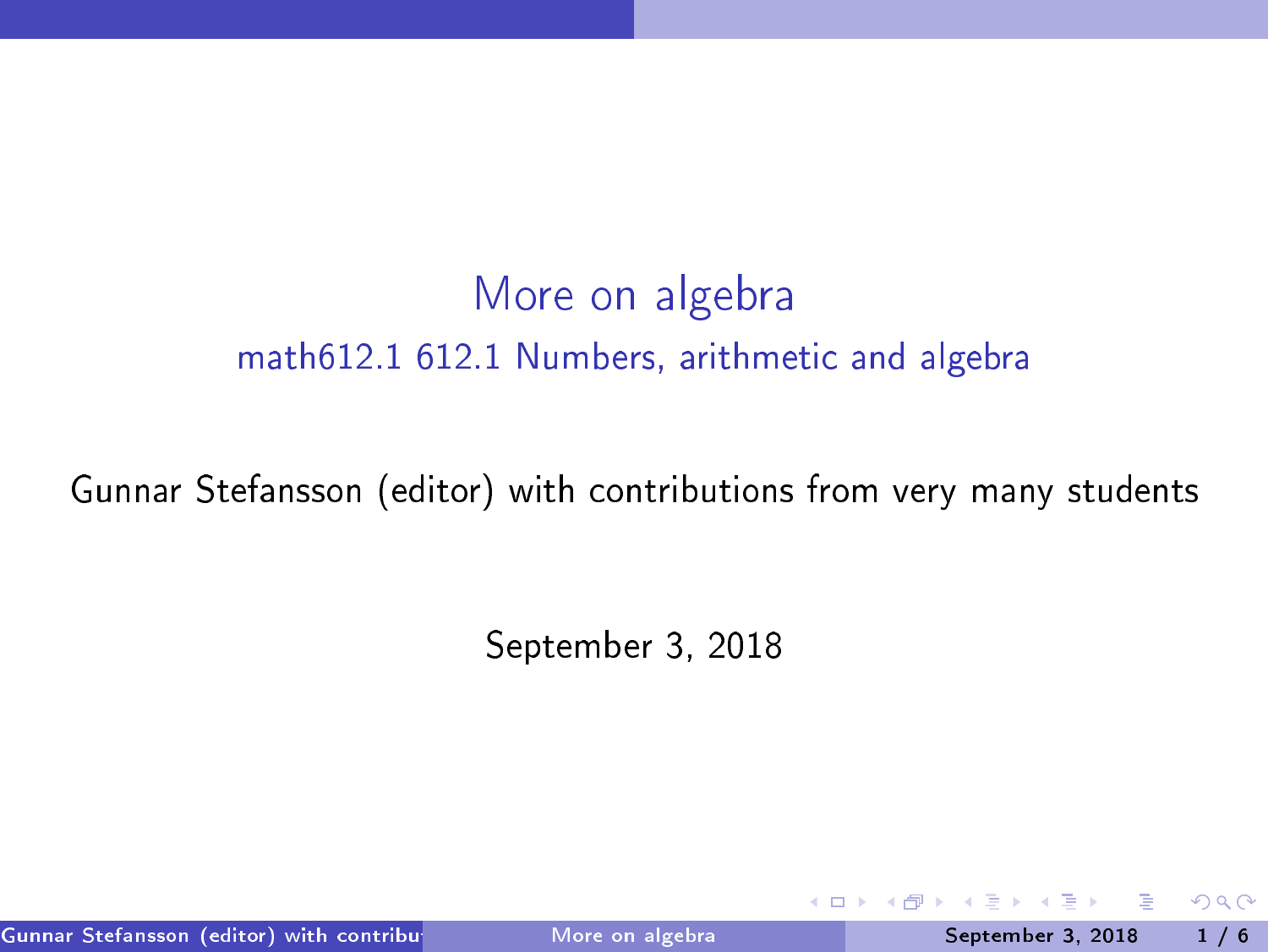# More on algebra math612.1 612.1 Numbers, arithmeti and algebra

#### Gunnar Stefansson (editor) with ontributions from very many students

September 3, <sup>2018</sup>

Gunnar Stefansson (editor) with contributions from very more on algebra students of the September 3, 2018 1 / 6

<span id="page-0-0"></span> $QQ$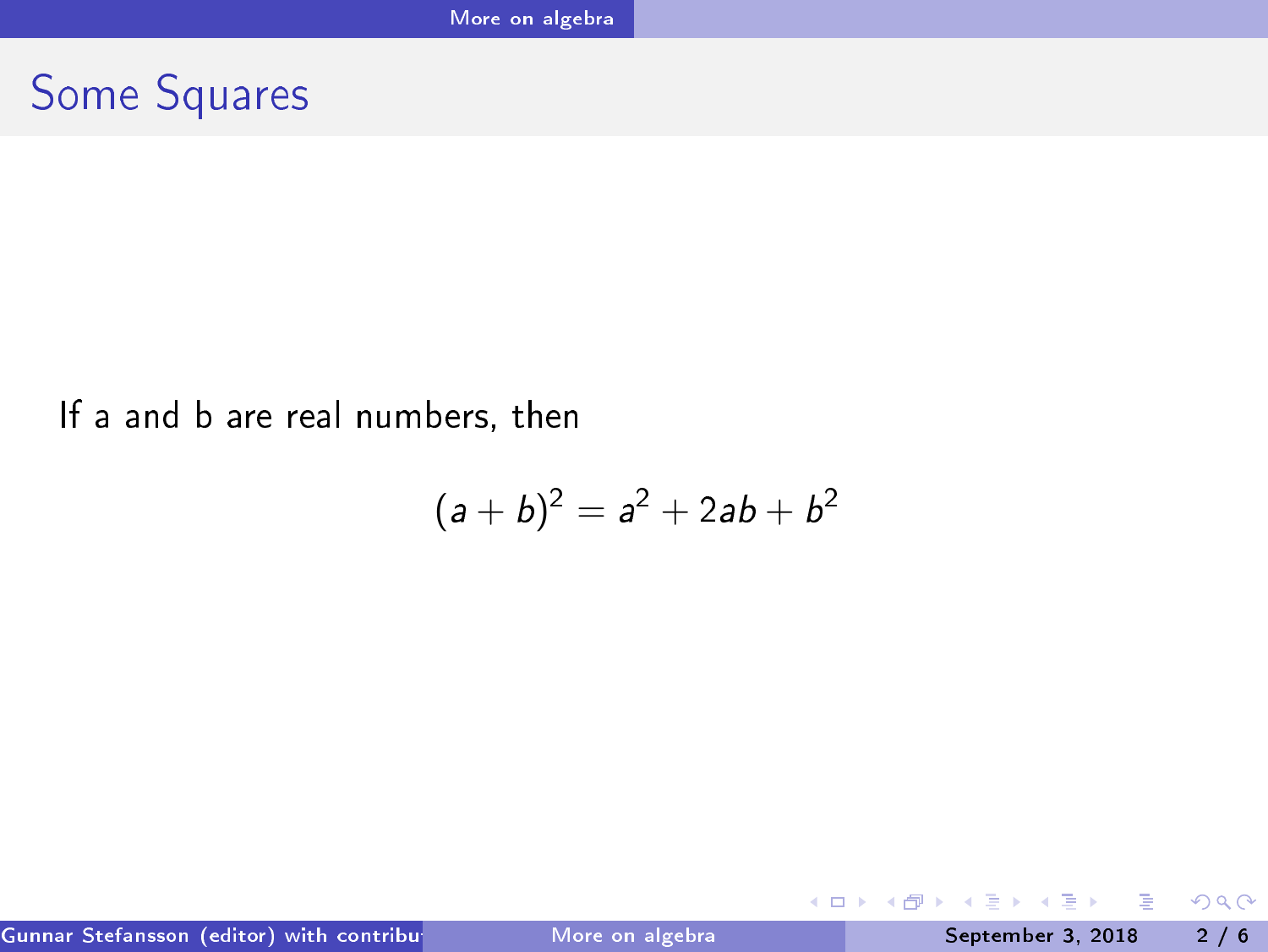## Some Squares

#### If <sup>a</sup> and <sup>b</sup> are real numbers, then

$$
(a+b)^2 = a^2 + 2ab + b^2
$$

Gunnar Stefansson (editor) with contributions from very More on algebra students September 3, 2018 2 / 6

重

<span id="page-1-0"></span> $298$ 

 $\mathbb{R}^n \times \mathbb{R}^n \to \mathbb{R}$ 

Þ

**K ロ ト K 伊 ト K**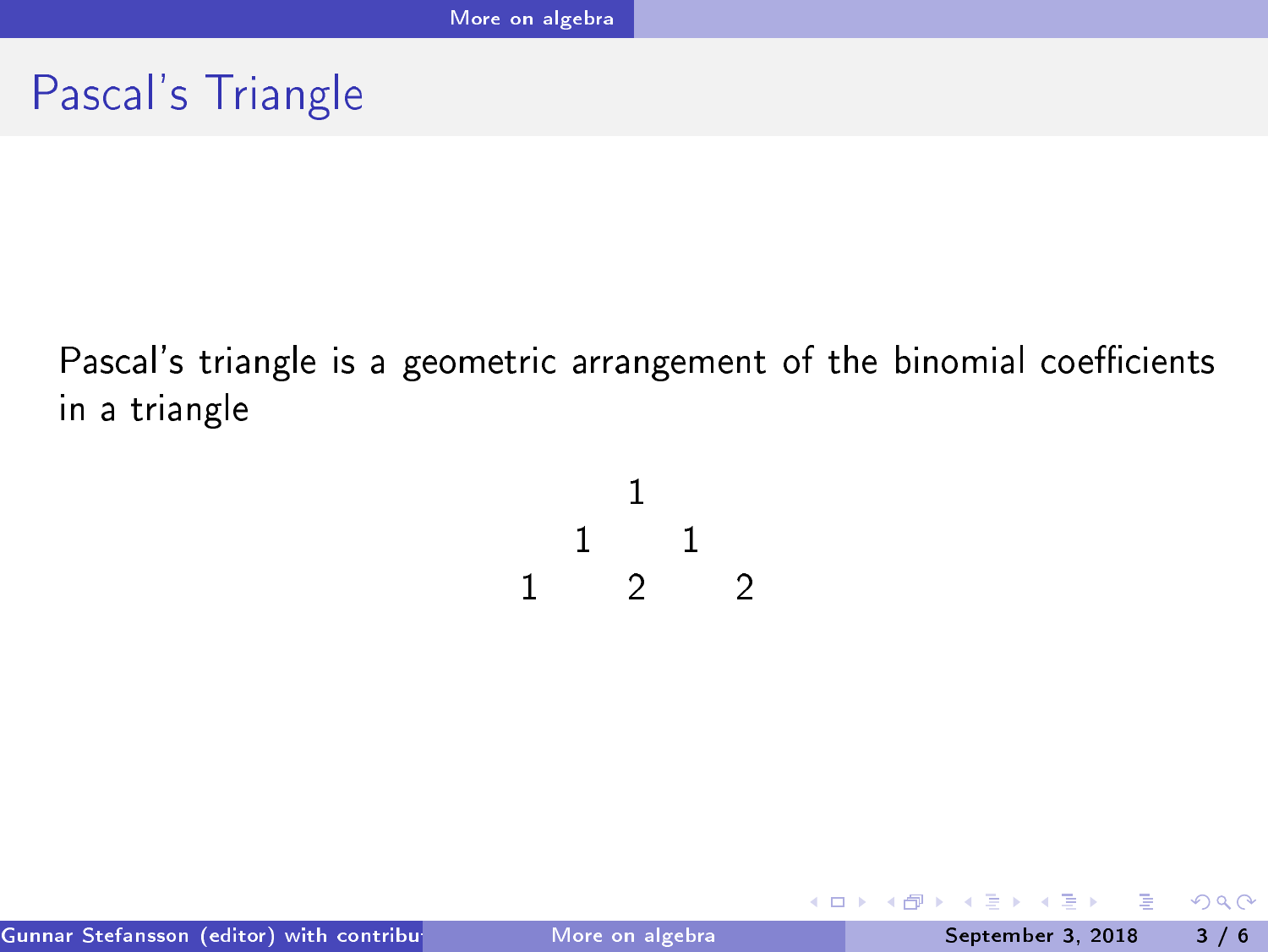### Pas
al's Triangle

Pascal's triangle is a geometric arrangement of the binomial coefficients in <sup>a</sup> triangle

$$
\begin{array}{ccccc}\n & & 1 & & \\
 & 1 & & 1 & \\
1 & & 2 & & 2\n\end{array}
$$

**E** 

ヨメ メヨメ

**◆ ロ ▶ → 何 ▶ →** 

<span id="page-2-0"></span> $298$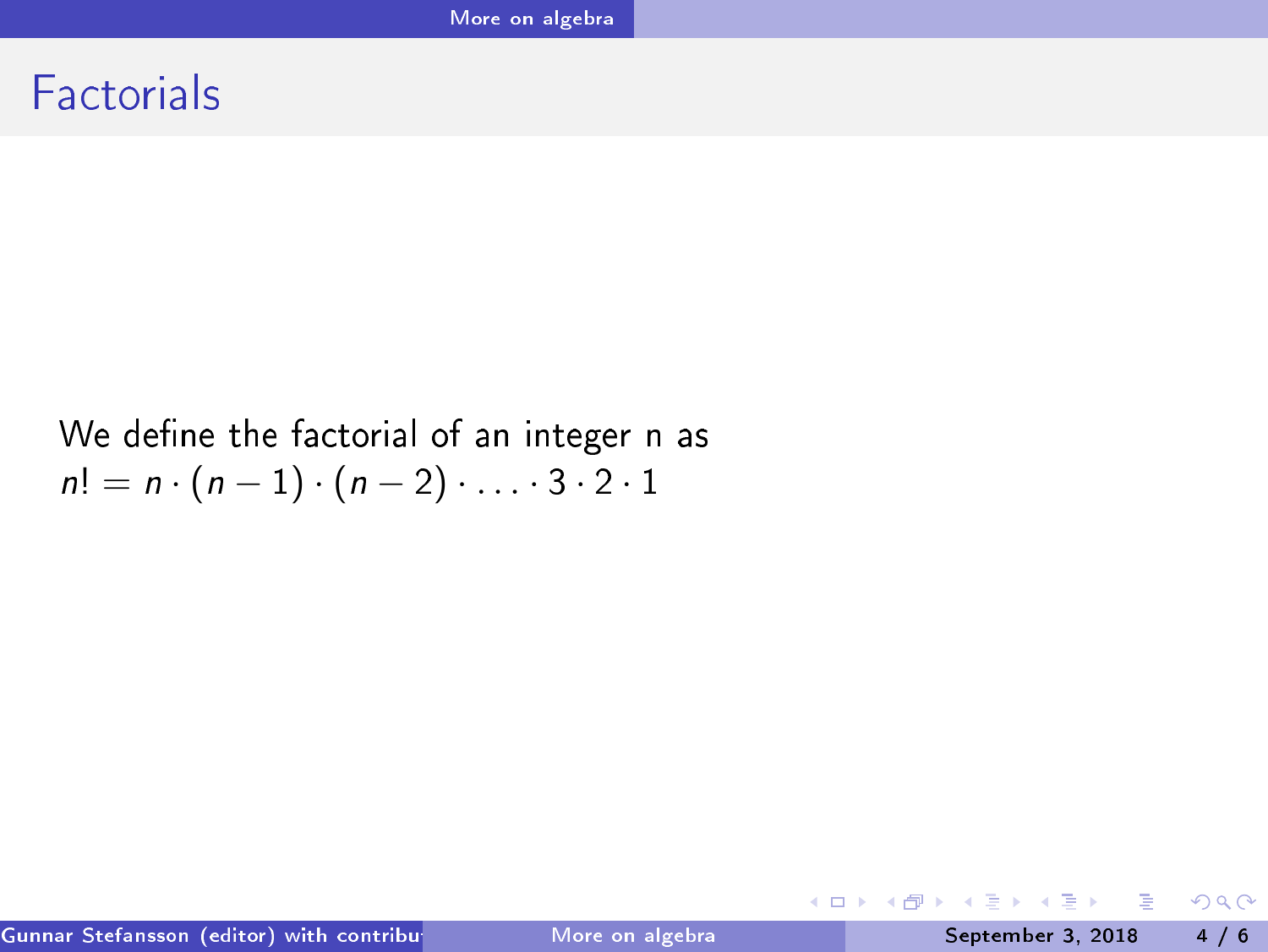#### Factorials

#### We define the factorial of an integer n as  $n! = n \cdot (n-1) \cdot (n-2) \cdot \ldots \cdot 3 \cdot 2 \cdot 1$

G.

<span id="page-3-0"></span> $298$ 

イロト イ部 トイヨ トイヨト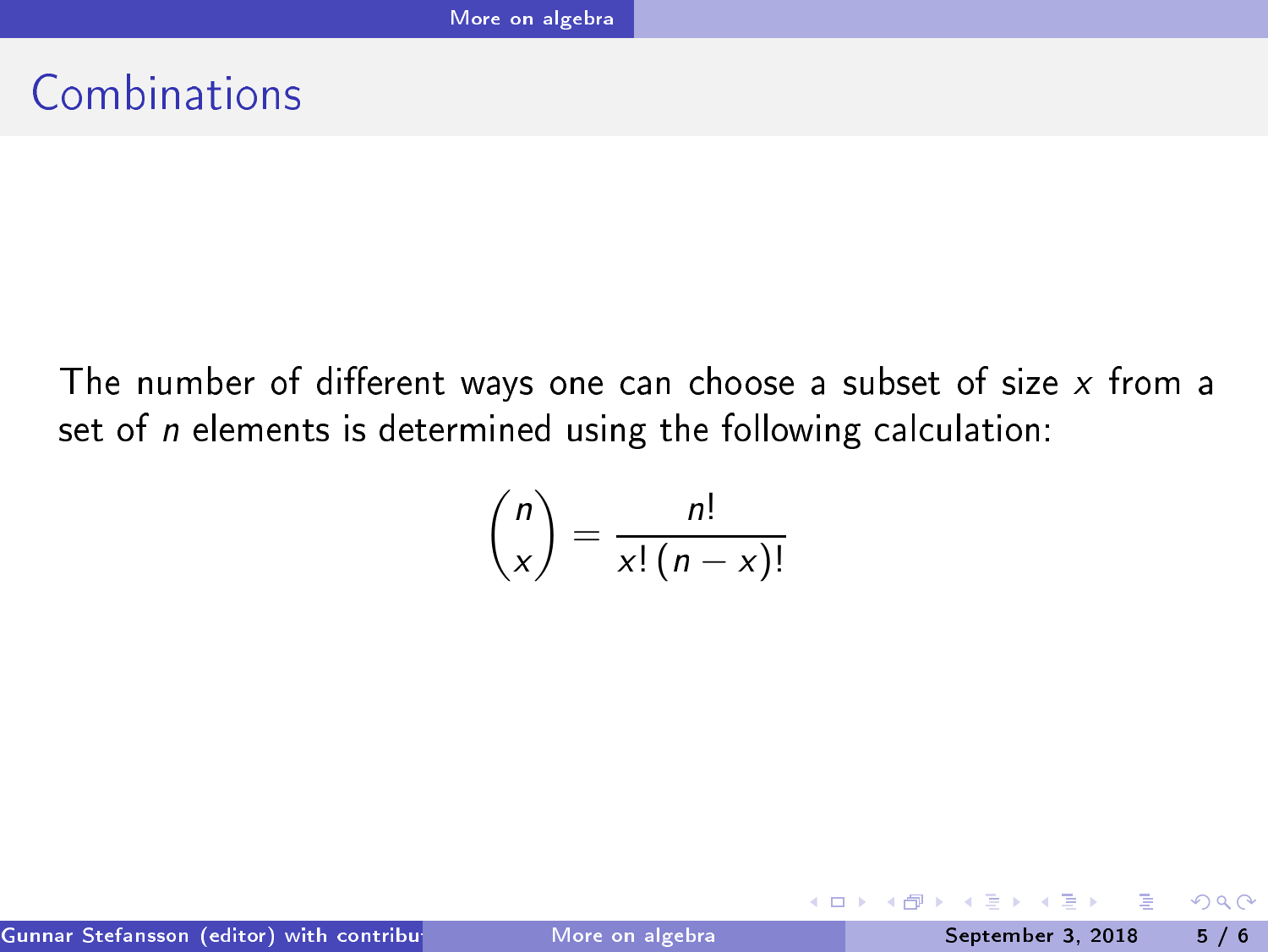### Combinations

The number of different ways one can choose a subset of size  $x$  from a set of  $n$  elements is determined using the following calculation:

$$
\binom{n}{x} = \frac{n!}{x!(n-x)!}
$$

<span id="page-4-0"></span> $QQ$ 

4 ロ ▶ (母